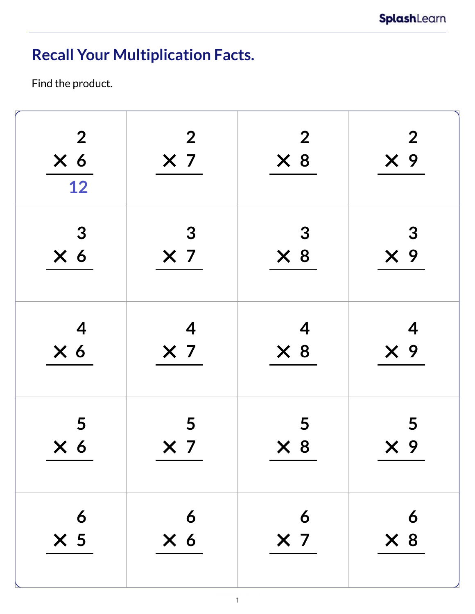## **Recall Your Multiplication Facts.**

Find the product.

| $\overline{2}$<br>X <sub>6</sub><br>12 | $\boldsymbol{2}$<br>X <sub>7</sub> | $\overline{2}$<br>$\times 8$ | $\overline{2}$<br>$\times$ 9 |
|----------------------------------------|------------------------------------|------------------------------|------------------------------|
| 3                                      | $\boldsymbol{3}$                   | 3                            | 3                            |
| X <sub>6</sub>                         | $\times$ 7                         | $\times 8$                   | $X$ 9                        |
| $\overline{\mathcal{A}}$               | $\overline{\mathcal{A}}$           | 4                            | $\overline{\mathcal{A}}$     |
| X <sub>6</sub>                         | $\times$ 7                         | $\times 8$                   | $\times$ 9                   |
| 5                                      | 5                                  | 5                            | 5                            |
| X <sub>6</sub>                         | $\times$ 7                         | $\times 8$                   | $X$ 9                        |
| 6                                      | $\overline{6}$                     | 6                            | 6                            |
| $\times$ 5                             | $\times 6$                         | $\times$ 7                   | $\times 8$                   |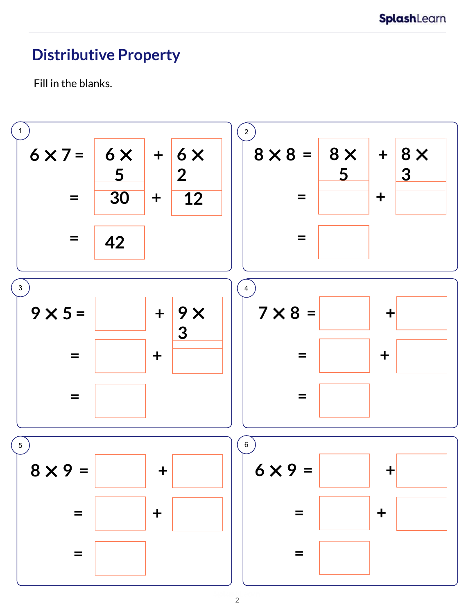#### **Distributive Property**

Fill in the blanks.

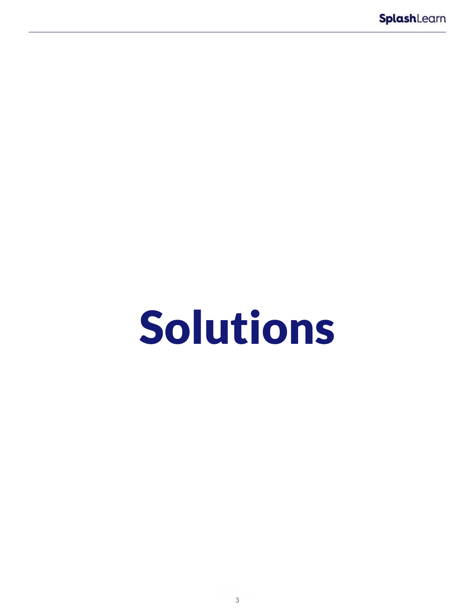# Solutions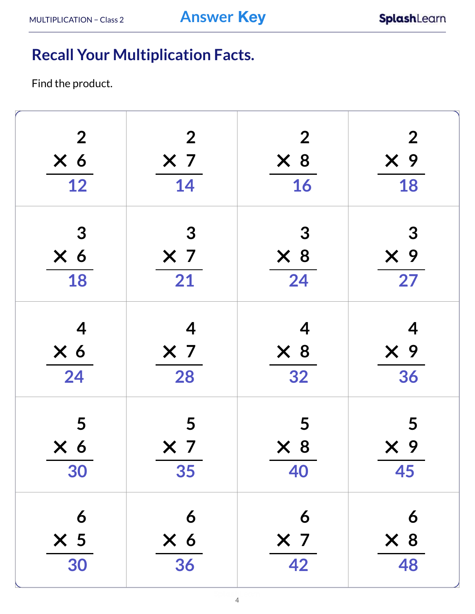## **Recall Your Multiplication Facts.**

Find the product.

| $\overline{2}$           | $\overline{2}$           | $\overline{2}$ | $\boldsymbol{2}$ |
|--------------------------|--------------------------|----------------|------------------|
| $\times 6$               | X <sub>7</sub>           | $\times 8$     | $\times$ 9       |
| 12                       | 14                       | 16             | 18               |
| 3                        | $\boldsymbol{3}$         | 3              | 3                |
| $\times$ 6               | $\times$ 7               | $\times 8$     | $X$ 9            |
| 18                       | 21                       | 24             | $\overline{27}$  |
| $\overline{\mathcal{A}}$ | $\overline{\mathcal{A}}$ | 4              | 4                |
| $\times 6$               | X <sub>7</sub>           | $\times 8$     | $X$ 9            |
| 24                       | 28                       | 32             | 36               |
| 5                        | 5                        | 5              | 5                |
| $\times 6$               | $\times$ 7               | $\times 8$     | $\times$ 9       |
| 30                       | 35                       | 40             | 45               |
| 6                        | 6                        | 6              | 6                |
| $\times$ 5               | X <sub>6</sub>           | $\times$ 7     | $\times 8$       |
| 30                       | 36                       | 42             | 48               |